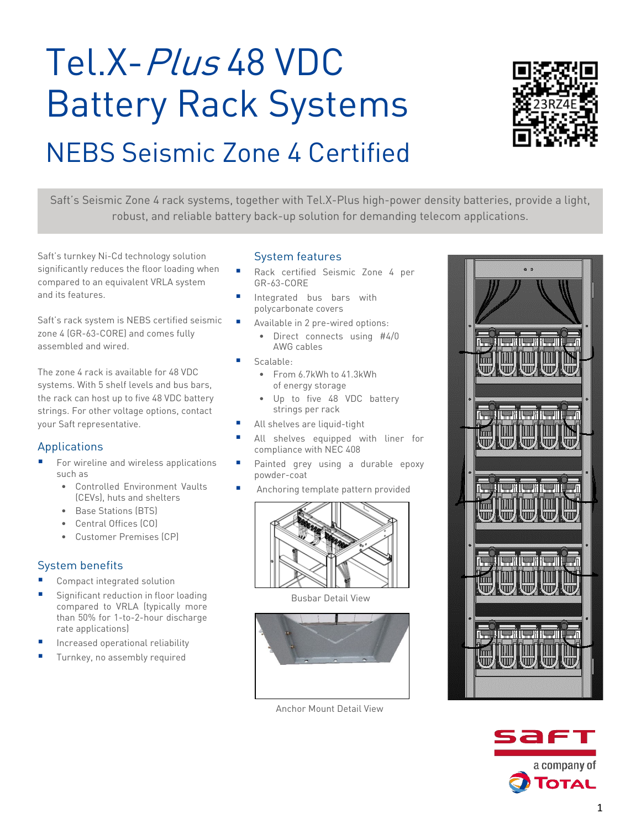# Tel.X-Plus 48 VDC Battery Rack Systems NEBS Seismic Zone 4 Certified



Saft's Seismic Zone 4 rack systems, together with Tel.X-Plus high-power density batteries, provide a light, robust, and reliable battery back-up solution for demanding telecom applications.

Saft's turnkey Ni-Cd technology solution significantly reduces the floor loading when compared to an equivalent VRLA system and its features.

Saft's rack system is NEBS certified seismic zone 4 (GR-63-CORE) and comes fully assembled and wired.

The zone 4 rack is available for 48 VDC systems. With 5 shelf levels and bus bars, the rack can host up to five 48 VDC battery strings. For other voltage options, contact your Saft representative.

## Applications

- For wireline and wireless applications such as
	- Controlled Environment Vaults (CEVs), huts and shelters
	- Base Stations (BTS)
	- Central Offices (CO)
	- Customer Premises (CP)

## System benefits

- Compact integrated solution
- Significant reduction in floor loading compared to VRLA (typically more than 50% for 1-to-2-hour discharge rate applications)
- Increased operational reliability
- Turnkey, no assembly required

#### System features

- Rack certified Seismic Zone 4 per GR-63-CORE
- Integrated bus bars with polycarbonate covers
- Available in 2 pre-wired options:
	- Direct connects using #4/0 AWG cables
- Scalable:
	- From 6.7kWh to 41.3kWh of energy storage
	- Up to five 48 VDC battery strings per rack
- All shelves are liquid-tight
- All shelves equipped with liner for compliance with NEC 408
- **Painted grey using a durable epoxy** powder-coat
- Anchoring template pattern provided



Busbar Detail View



Anchor Mount Detail View